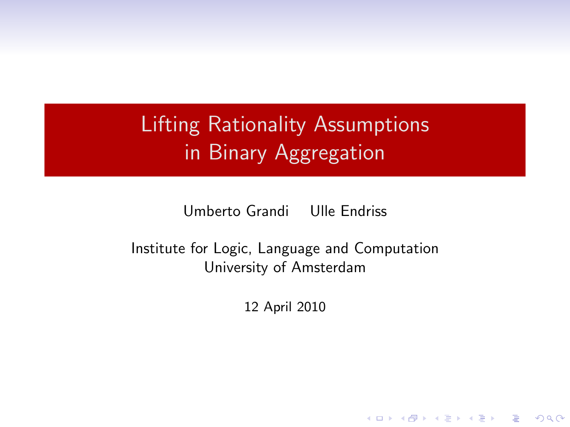# Lifting Rationality Assumptions in Binary Aggregation

Umberto Grandi Ulle Endriss

Institute for Logic, Language and Computation University of Amsterdam

12 April 2010

**KORK SERVER SHOPE**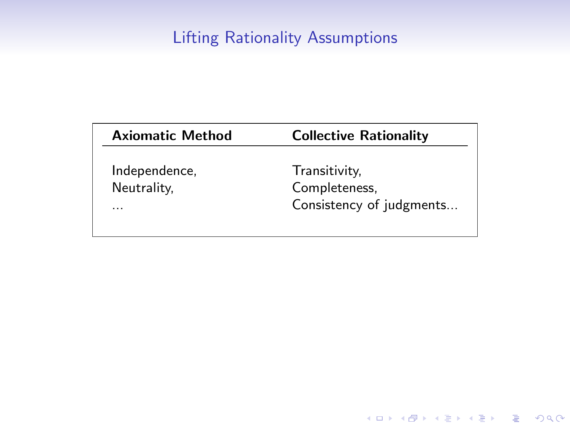# Lifting Rationality Assumptions

| <b>Axiomatic Method</b> | <b>Collective Rationality</b> |
|-------------------------|-------------------------------|
| Independence,           | Transitivity,                 |
| Neutrality,             | Completeness.                 |
| .                       | Consistency of judgments      |

K ロ ▶ K @ ▶ K 할 ▶ K 할 ▶ ( 할 ) 19 Q Q ·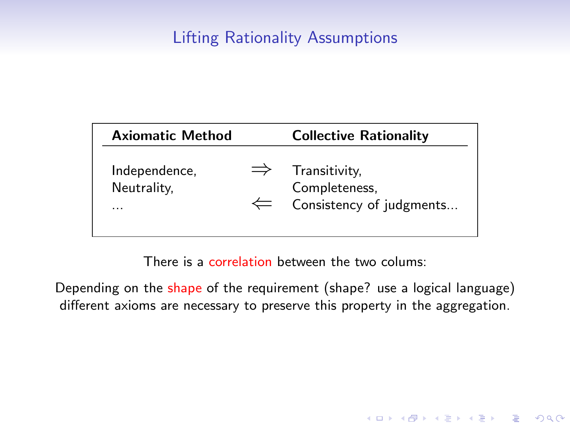# Lifting Rationality Assumptions

| <b>Axiomatic Method</b>           | <b>Collective Rationality</b>                                                         |
|-----------------------------------|---------------------------------------------------------------------------------------|
| Independence,<br>Neutrality,<br>. | $\Rightarrow$ Transitivity,<br>Completeness,<br>$\leftarrow$ Consistency of judgments |

There is a correlation between the two colums:

Depending on the shape of the requirement (shape? use a logical language) different axioms are necessary to preserve this property in the aggregation.

**K ロ ▶ K @ ▶ K 할 X X 할 X → 할 X → 9 Q Q ^**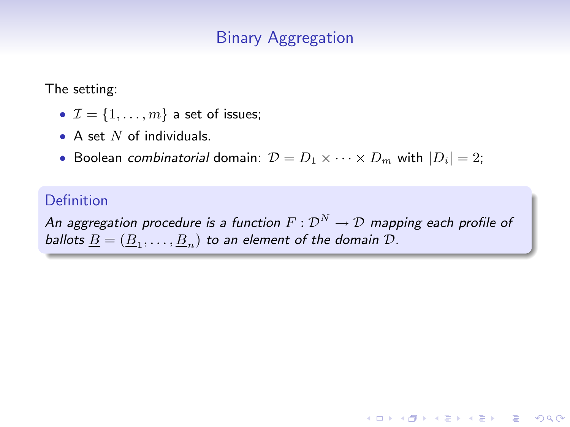# Binary Aggregation

The setting:

- $\bullet \mathcal{I} = \{1, \ldots, m\}$  a set of issues;
- A set  $N$  of individuals.
- Boolean combinatorial domain:  $\mathcal{D} = D_1 \times \cdots \times D_m$  with  $|D_i| = 2$ ;

#### Definition

An aggregation procedure is a function  $F:\mathcal{D}^N\to\mathcal{D}$  mapping each profile of ballots  $\underline{B}=(\underline{B}_1,\ldots,\underline{B}_n)$  to an element of the domain  $\mathcal{D}.$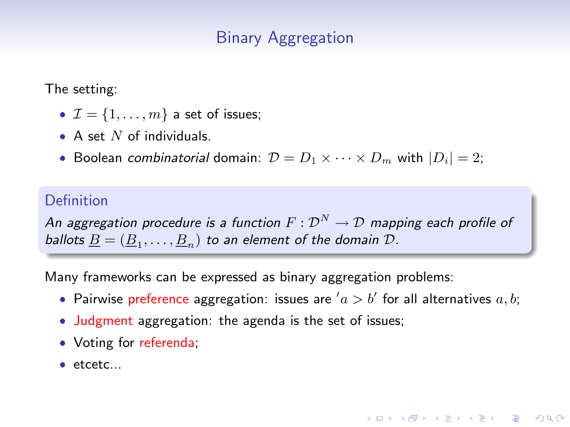# Binary Aggregation

The setting:

- $\bullet \mathcal{I} = \{1, \ldots, m\}$  a set of issues;
- A set  $N$  of individuals.
- Boolean combinatorial domain:  $\mathcal{D} = D_1 \times \cdots \times D_m$  with  $|D_i| = 2$ ;

#### Definition

An aggregation procedure is a function  $F:\mathcal{D}^N\to\mathcal{D}$  mapping each profile of ballots  $\underline{B}=(\underline{B}_1,\ldots,\underline{B}_n)$  to an element of the domain  $\mathcal{D}.$ 

Many frameworks can be expressed as binary aggregation problems:

• Pairwise preference aggregation: issues are  $a > b'$  for all alternatives  $a, b;$ 

**KORKAR KERKER E VOOR** 

- Judgment aggregation: the agenda is the set of issues;
- Voting for referenda;
- $\bullet$  etcetc...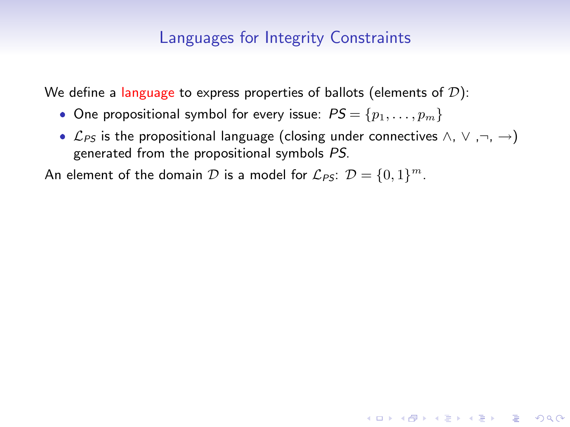We define a language to express properties of ballots (elements of  $D$ ):

- One propositional symbol for every issue:  $PS = \{p_1, \ldots, p_m\}$
- $\mathcal{L}_{PS}$  is the propositional language (closing under connectives ∧,  $\vee$  ,¬, →) generated from the propositional symbols PS.

**KORKAR KERKER E VOOR** 

An element of the domain  $\mathcal D$  is a model for  $\mathcal L_{\mathsf{PS}}\colon \mathcal D=\{0,1\}^m.$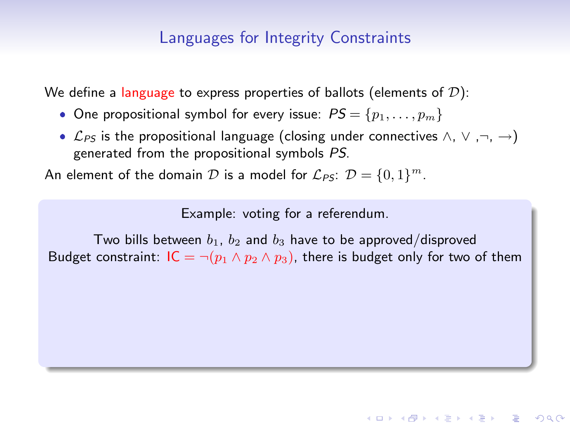We define a language to express properties of ballots (elements of  $D$ ):

- One propositional symbol for every issue:  $PS = \{p_1, \ldots, p_m\}$
- $\mathcal{L}_{PS}$  is the propositional language (closing under connectives ∧,  $\vee$  ,¬, →) generated from the propositional symbols PS.

An element of the domain  $\mathcal D$  is a model for  $\mathcal L_{\mathsf{PS}}\colon \mathcal D=\{0,1\}^m.$ 

Example: voting for a referendum.

Two bills between  $b_1$ ,  $b_2$  and  $b_3$  have to be approved/disproved Budget constraint:  $IC = \neg (p_1 \land p_2 \land p_3)$ , there is budget only for two of them

**KORKARA KERKER SAGA**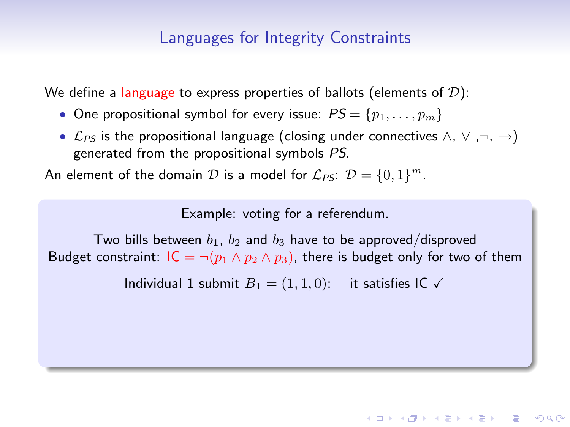We define a language to express properties of ballots (elements of  $D$ ):

- One propositional symbol for every issue:  $PS = \{p_1, \ldots, p_m\}$
- $\mathcal{L}_{PS}$  is the propositional language (closing under connectives ∧,  $\vee$  ,¬, →) generated from the propositional symbols PS.

An element of the domain  $\mathcal D$  is a model for  $\mathcal L_{\mathsf{PS}}\colon \mathcal D=\{0,1\}^m.$ 

Example: voting for a referendum.

Two bills between  $b_1$ ,  $b_2$  and  $b_3$  have to be approved/disproved Budget constraint:  $IC = \neg (p_1 \land p_2 \land p_3)$ , there is budget only for two of them

Individual 1 submit  $B_1 = (1, 1, 0)$ : it satisfies IC  $\checkmark$ 

**KORKARA KERKER SAGA**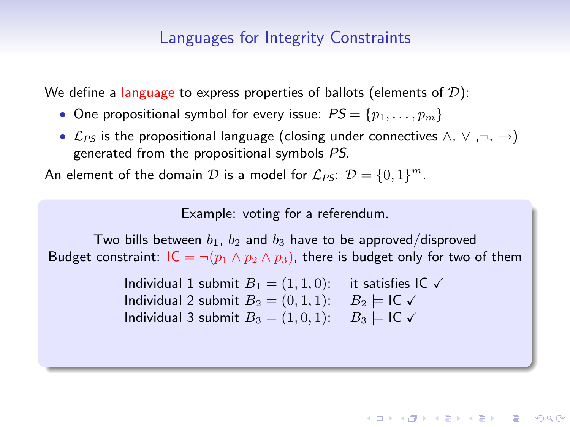We define a language to express properties of ballots (elements of  $D$ ):

- One propositional symbol for every issue:  $PS = \{p_1, \ldots, p_m\}$
- $\mathcal{L}_{PS}$  is the propositional language (closing under connectives ∧,  $\vee$  ,¬, →) generated from the propositional symbols PS.

An element of the domain  $\mathcal D$  is a model for  $\mathcal L_{\mathsf{PS}}\colon \mathcal D=\{0,1\}^m.$ 

Example: voting for a referendum.

Two bills between  $b_1$ ,  $b_2$  and  $b_3$  have to be approved/disproved Budget constraint:  $IC = \neg (p_1 \land p_2 \land p_3)$ , there is budget only for two of them

> Individual 1 submit  $B_1 = (1, 1, 0)$ : it satisfies IC  $\checkmark$ Individual 2 submit  $B_2 = (0, 1, 1)$ :  $B_2 \models \mathsf{IC} \checkmark$ Individual 3 submit  $B_3 = (1, 0, 1)$ :  $B_3 \models \mathsf{IC} \checkmark$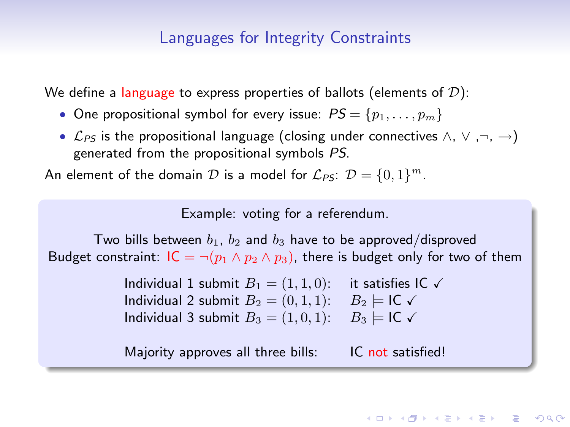We define a language to express properties of ballots (elements of  $D$ ):

- One propositional symbol for every issue:  $PS = \{p_1, \ldots, p_m\}$
- $\mathcal{L}_{PS}$  is the propositional language (closing under connectives ∧,  $\vee$  ,¬, →) generated from the propositional symbols PS.

An element of the domain  $\mathcal D$  is a model for  $\mathcal L_{\mathsf{PS}}\colon \mathcal D=\{0,1\}^m.$ 

Example: voting for a referendum.

Two bills between  $b_1$ ,  $b_2$  and  $b_3$  have to be approved/disproved Budget constraint:  $IC = \neg (p_1 \land p_2 \land p_3)$ , there is budget only for two of them

> Individual 1 submit  $B_1 = (1, 1, 0)$ : it satisfies IC  $\checkmark$ Individual 2 submit  $B_2 = (0, 1, 1)$ :  $B_2 \models \mathsf{IC} \checkmark$ Individual 3 submit  $B_3 = (1, 0, 1)$ :  $B_3 \models \mathsf{IC} \checkmark$

> Majority approves all three bills: IC not satisfied!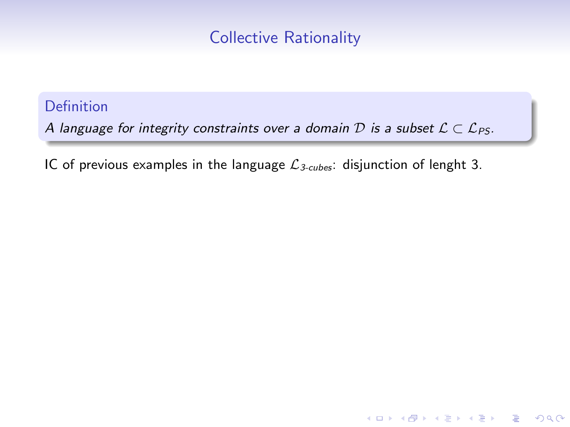# Collective Rationality

#### Definition

A language for integrity constraints over a domain D is a subset  $\mathcal{L} \subset \mathcal{L}_{PS}$ .

IC of previous examples in the language  $\mathcal{L}_{3-cubes}$ : disjunction of lenght 3.

**KORK SERVER SHOPE**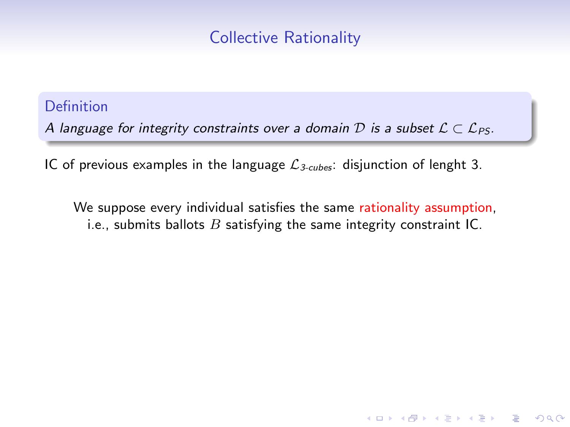# Collective Rationality

#### Definition

A language for integrity constraints over a domain D is a subset  $\mathcal{L} \subset \mathcal{L}_{PS}$ .

IC of previous examples in the language  $\mathcal{L}_{3-cubes}$ : disjunction of lenght 3.

We suppose every individual satisfies the same rationality assumption, i.e., submits ballots  $B$  satisfying the same integrity constraint IC.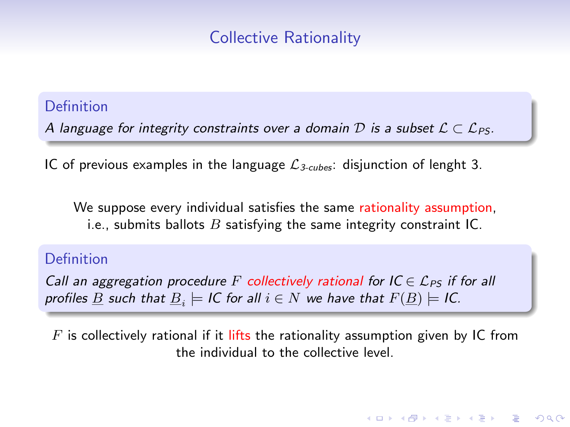# Collective Rationality

#### Definition

A language for integrity constraints over a domain D is a subset  $\mathcal{L} \subset \mathcal{L}_{PS}$ .

IC of previous examples in the language  $\mathcal{L}_{3-cubes}$ : disjunction of lenght 3.

We suppose every individual satisfies the same rationality assumption, i.e., submits ballots  $B$  satisfying the same integrity constraint IC.

#### Definition

Call an aggregation procedure F collectively rational for  $IC \in \mathcal{L}_{PS}$  if for all profiles  $\underline{B}$  such that  $\underline{B}_i\models$  IC for all  $i\in N$  we have that  $F(\underline{B})\models$  IC.

 $F$  is collectively rational if it lifts the rationality assumption given by IC from the individual to the collective level.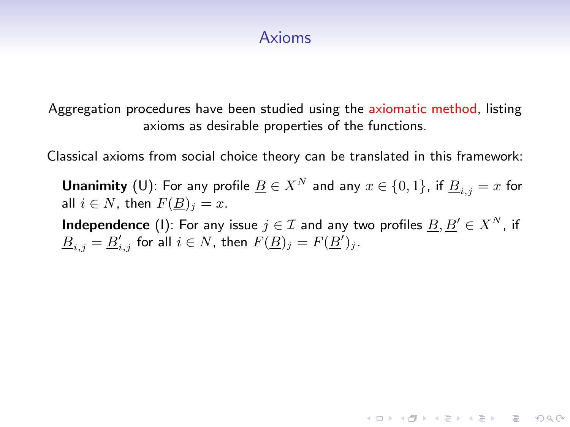# Axioms

Aggregation procedures have been studied using the axiomatic method, listing axioms as desirable properties of the functions.

Classical axioms from social choice theory can be translated in this framework:

**Unanimity** (U): For any profile  $\underline{B} \in X^N$  and any  $x \in \{0,1\}$ , if  $\underline{B}_{i,j} = x$  for all  $i \in N$ , then  $F(B)_i = x$ .

**Independence** (1): For any issue  $j \in \mathcal{I}$  and any two profiles  $\underline{B}, \underline{B}' \in X^N$ , if  $\underline{B}_{i,j} = \underline{B}'_{i,j}$  for all  $i \in N$ , then  $F(\underline{B})_j = F(\underline{B}')_j$ .

**KORKAR KERKER E VOOR**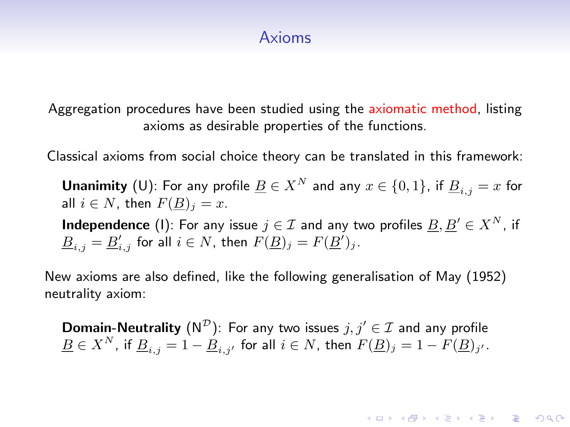### Axioms

Aggregation procedures have been studied using the axiomatic method, listing axioms as desirable properties of the functions.

Classical axioms from social choice theory can be translated in this framework:

**Unanimity** (U): For any profile  $\underline{B} \in X^N$  and any  $x \in \{0,1\}$ , if  $\underline{B}_{i,j} = x$  for all  $i \in N$ , then  $F(B)_i = x$ .

**Independence** (1): For any issue  $j \in \mathcal{I}$  and any two profiles  $\underline{B}, \underline{B}' \in X^N$ , if  $\underline{B}_{i,j} = \underline{B}'_{i,j}$  for all  $i \in N$ , then  $F(\underline{B})_j = F(\underline{B}')_j$ .

New axioms are also defined, like the following generalisation of May (1952) neutrality axiom:

**Domain-Neutrality** (N<sup>D</sup>): For any two issues  $j, j' \in \mathcal{I}$  and any profile  $\underline{B}\in X^N$ , if  $\underline{B}_{i,j}=1-\underline{B}_{i,j'}$  for all  $i\in N$ , then  $F(\underline{B})_j=1-F(\underline{B})_{j'}.$ 

**KORKAR KERKER E VOOR**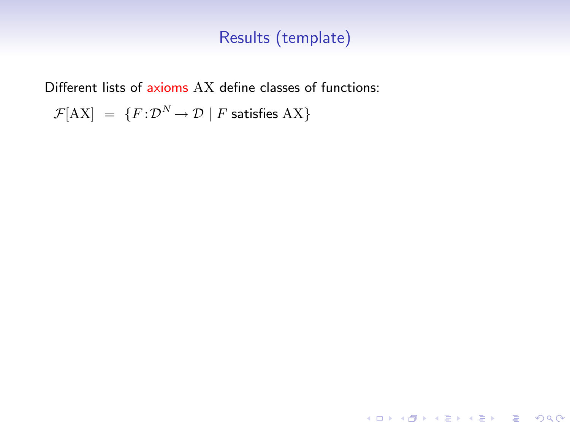KO K K Ø K K I K I LA LI I LA K DR OK LI

Different lists of axioms AX define classes of functions:

 ${\mathcal F}[\text{AX}] \;=\; \{F \!:\! \mathcal{D}^N \!\to \mathcal{D} \mid F \text{ satisfies AX}\}$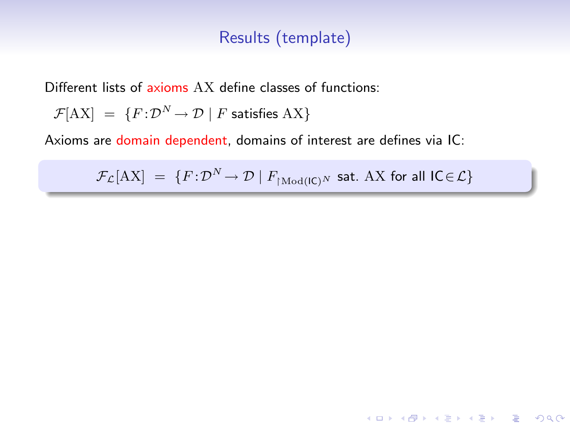Different lists of axioms AX define classes of functions:

$$
\mathcal{F}[AX] = \{F: \mathcal{D}^N \to \mathcal{D} \mid F \text{ satisfies } AX\}
$$

Axioms are domain dependent, domains of interest are defines via IC:

 $\mathcal{F}_\mathcal{L}[\text{AX}] \;=\; \{F \!:\! \mathcal{D}^N \!\to \mathcal{D} \mid F_{\restriction \text{Mod}(\textsf{IC})^N} \; \textsf{sat.} \; \text{AX for all } \textsf{IC} \! \in \! \mathcal{L} \}$ 

**K ロ ▶ K @ ▶ K 할 X X 할 X → 할 X → 9 Q Q ^**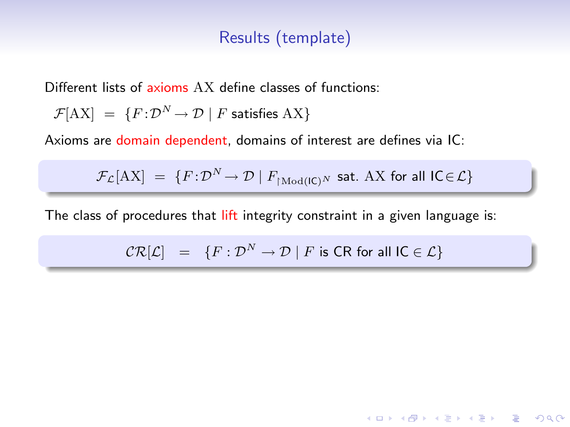Different lists of axioms AX define classes of functions:

$$
\mathcal{F}[AX] = \{F: \mathcal{D}^N \to \mathcal{D} \mid F \text{ satisfies } AX\}
$$

Axioms are domain dependent, domains of interest are defines via IC:

 $\mathcal{F}_\mathcal{L}[\text{AX}] \;=\; \{F \!:\! \mathcal{D}^N \!\to \mathcal{D} \mid F_{\restriction \text{Mod}(\textsf{IC})^N} \; \textsf{sat.} \; \text{AX for all } \textsf{IC} \! \in \! \mathcal{L} \}$ 

The class of procedures that lift integrity constraint in a given language is:

$$
\mathcal{CR}[\mathcal{L}] = \{ F : \mathcal{D}^N \to \mathcal{D} \mid F \text{ is CR for all IC} \in \mathcal{L} \}
$$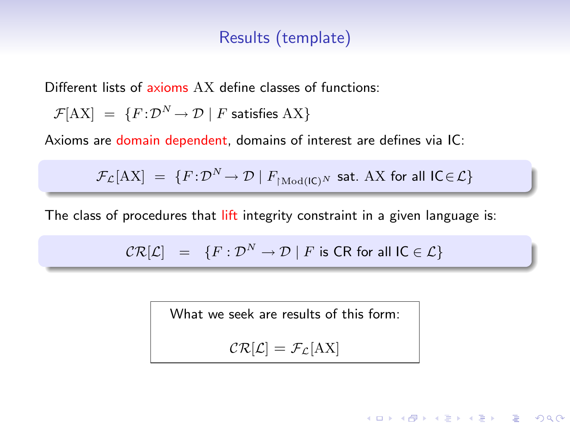Different lists of axioms AX define classes of functions:

$$
\mathcal{F}[AX] = \{F: \mathcal{D}^N \to \mathcal{D} \mid F \text{ satisfies } AX\}
$$

Axioms are domain dependent, domains of interest are defines via IC:

 $\mathcal{F}_\mathcal{L}[\text{AX}] \;=\; \{F \!:\! \mathcal{D}^N \!\to \mathcal{D} \mid F_{\restriction \text{Mod}(\textsf{IC})^N} \; \textsf{sat.} \; \text{AX for all } \textsf{IC} \! \in \! \mathcal{L} \}$ 

The class of procedures that lift integrity constraint in a given language is:

$$
CR[\mathcal{L}] = \{F : \mathcal{D}^N \to \mathcal{D} \mid F \text{ is CR for all } IC \in \mathcal{L}\}
$$

What we seek are results of this form:

$$
\mathcal{CR}[\mathcal{L}] = \mathcal{F}_{\mathcal{L}}[AX]
$$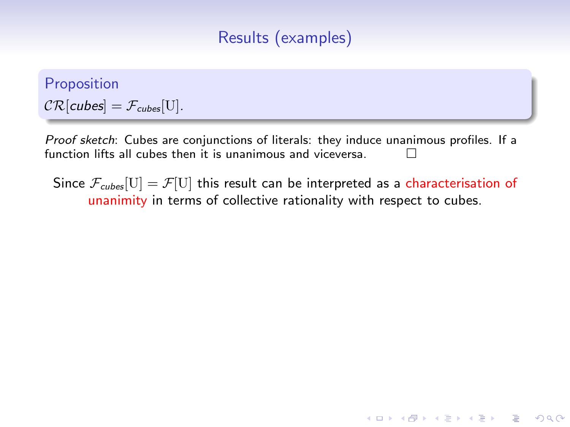# Results (examples)

Proposition  $CR[cubes] = F_{cubes}[U].$ 

Proof sketch: Cubes are conjunctions of literals: they induce unanimous profiles. If a function lifts all cubes then it is unanimous and viceversa.

Since  $\mathcal{F}_{\text{cubes}}[U] = \mathcal{F}[U]$  this result can be interpreted as a characterisation of unanimity in terms of collective rationality with respect to cubes.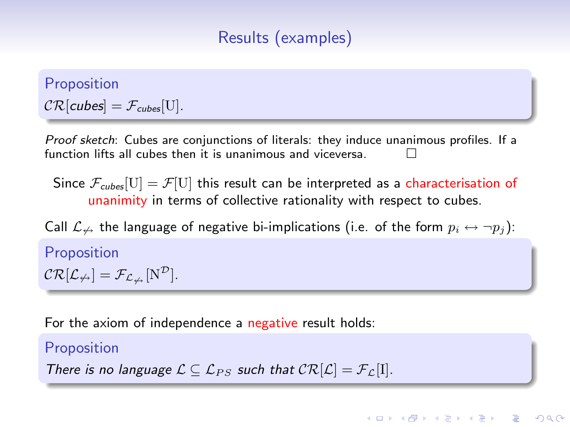# Results (examples)

Proposition  $CR[cubes] = F_{cubes}[U].$ 

Proof sketch: Cubes are conjunctions of literals: they induce unanimous profiles. If a function lifts all cubes then it is unanimous and viceversa.

Since  $\mathcal{F}_{\text{cubes}}[U] = \mathcal{F}[U]$  this result can be interpreted as a characterisation of unanimity in terms of collective rationality with respect to cubes.

Call  $\mathcal{L}_{\nleftrightarrow}$  the language of negative bi-implications (i.e. of the form  $p_i \leftrightarrow \neg p_j$ ):

**KORKARA KERKER SAGA** 

Proposition  $CR[\mathcal{L}_{\nleftrightarrow}] = \mathcal{F}_{\mathcal{L}_{\nleftrightarrow}}[N^{\mathcal{D}}].$ 

For the axiom of independence a negative result holds:

#### Proposition

There is no language  $\mathcal{L} \subseteq \mathcal{L}_{PS}$  such that  $\mathcal{CR}[\mathcal{L}] = \mathcal{F}_{\mathcal{L}}[I].$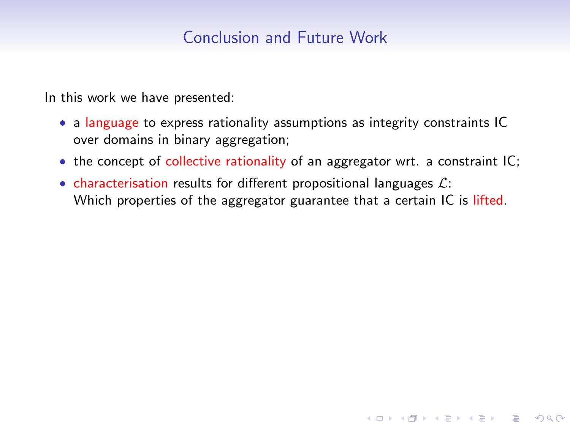# Conclusion and Future Work

In this work we have presented:

- a language to express rationality assumptions as integrity constraints IC over domains in binary aggregation;
- the concept of collective rationality of an aggregator wrt. a constraint IC;

**KORK SERVER SHOPE** 

• characterisation results for different propositional languages  $\mathcal{L}$ : Which properties of the aggregator guarantee that a certain IC is lifted.